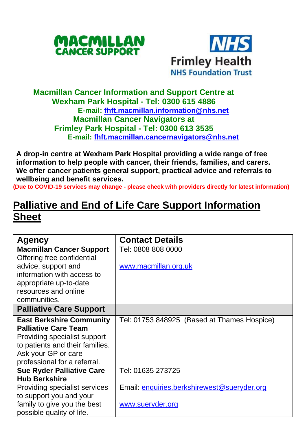



## **Macmillan Cancer Information and Support Centre at Wexham Park Hospital - Tel: 0300 615 4886 E-mail: [fhft.macmillan.information@nhs.net](mailto:fhft.macmillan.information@nhs.net) Macmillan Cancer Navigators at Frimley Park Hospital - Tel: 0300 613 3535 E-mail: [fhft.macmillan.cancernavigators@nhs.net](mailto:fhft.macmillan.cancernavigators@nhs.net)**

**A drop-in centre at Wexham Park Hospital providing a wide range of free information to help people with cancer, their friends, families, and carers. We offer cancer patients general support, practical advice and referrals to wellbeing and benefit services.**

**(Due to COVID-19 services may change - please check with providers directly for latest information)**

## **Palliative and End of Life Care Support Information Sheet**

| Agency                           | <b>Contact Details</b>                      |  |  |
|----------------------------------|---------------------------------------------|--|--|
| <b>Macmillan Cancer Support</b>  | Tel: 0808 808 0000                          |  |  |
| Offering free confidential       |                                             |  |  |
| advice, support and              | www.macmillan.org.uk                        |  |  |
| information with access to       |                                             |  |  |
| appropriate up-to-date           |                                             |  |  |
| resources and online             |                                             |  |  |
| communities.                     |                                             |  |  |
| <b>Palliative Care Support</b>   |                                             |  |  |
| <b>East Berkshire Community</b>  | Tel: 01753 848925 (Based at Thames Hospice) |  |  |
| <b>Palliative Care Team</b>      |                                             |  |  |
| Providing specialist support     |                                             |  |  |
| to patients and their families.  |                                             |  |  |
| Ask your GP or care              |                                             |  |  |
| professional for a referral.     |                                             |  |  |
| <b>Sue Ryder Palliative Care</b> | Tel: 01635 273725                           |  |  |
| <b>Hub Berkshire</b>             |                                             |  |  |
| Providing specialist services    | Email: enquiries.berkshirewest@sueryder.org |  |  |
| to support you and your          |                                             |  |  |
| family to give you the best      | www.sueryder.org                            |  |  |
| possible quality of life.        |                                             |  |  |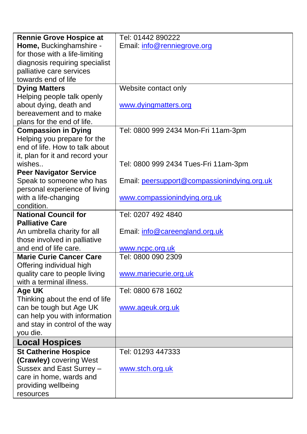| <b>Rennie Grove Hospice at</b>  | Tel: 01442 890222                           |  |  |
|---------------------------------|---------------------------------------------|--|--|
| Home, Buckinghamshire -         | Email: info@renniegrove.org                 |  |  |
| for those with a life-limiting  |                                             |  |  |
| diagnosis requiring specialist  |                                             |  |  |
| palliative care services        |                                             |  |  |
| towards end of life             |                                             |  |  |
| <b>Dying Matters</b>            | Website contact only                        |  |  |
| Helping people talk openly      |                                             |  |  |
| about dying, death and          | www.dyingmatters.org                        |  |  |
| bereavement and to make         |                                             |  |  |
| plans for the end of life.      |                                             |  |  |
| <b>Compassion in Dying</b>      | Tel: 0800 999 2434 Mon-Fri 11am-3pm         |  |  |
| Helping you prepare for the     |                                             |  |  |
| end of life. How to talk about  |                                             |  |  |
| it, plan for it and record your |                                             |  |  |
| wishes                          | Tel: 0800 999 2434 Tues-Fri 11am-3pm        |  |  |
| <b>Peer Navigator Service</b>   |                                             |  |  |
| Speak to someone who has        | Email: peersupport@compassionindying.org.uk |  |  |
| personal experience of living   |                                             |  |  |
| with a life-changing            | www.compassionindying.org.uk                |  |  |
| condition.                      |                                             |  |  |
| <b>National Council for</b>     | Tel: 0207 492 4840                          |  |  |
| <b>Palliative Care</b>          |                                             |  |  |
| An umbrella charity for all     | Email: info@careengland.org.uk              |  |  |
| those involved in palliative    |                                             |  |  |
| and end of life care.           | www.ncpc.org.uk                             |  |  |
| <b>Marie Curie Cancer Care</b>  | Tel: 0800 090 2309                          |  |  |
| Offering individual high        |                                             |  |  |
| quality care to people living   | www.mariecurie.org.uk                       |  |  |
| with a terminal illness.        |                                             |  |  |
| Age UK                          | Tel: 0800 678 1602                          |  |  |
| Thinking about the end of life  |                                             |  |  |
| can be tough but Age UK         | www.ageuk.org.uk                            |  |  |
| can help you with information   |                                             |  |  |
| and stay in control of the way  |                                             |  |  |
| you die.                        |                                             |  |  |
| <b>Local Hospices</b>           |                                             |  |  |
| <b>St Catherine Hospice</b>     | Tel: 01293 447333                           |  |  |
| (Crawley) covering West         |                                             |  |  |
| Sussex and East Surrey -        | www.stch.org.uk                             |  |  |
| care in home, wards and         |                                             |  |  |
| providing wellbeing             |                                             |  |  |
| resources                       |                                             |  |  |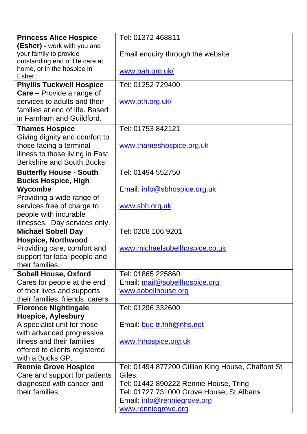| <b>Princess Alice Hospice</b>    | Tel: 01372 468811                                 |  |  |
|----------------------------------|---------------------------------------------------|--|--|
| (Esher) - work with you and      |                                                   |  |  |
| your family to provide           | Email enquiry through the website                 |  |  |
| outstanding end of life care at  |                                                   |  |  |
| home, or in the hospice in       | www.pah.org.uk/                                   |  |  |
| Esher.                           |                                                   |  |  |
| <b>Phyllis Tuckwell Hospice</b>  | Tel: 01252 729400                                 |  |  |
| Care - Provide a range of        |                                                   |  |  |
| services to adults and their     | www.pth.org.uk/                                   |  |  |
| families at end of life. Based   |                                                   |  |  |
| in Farnham and Guildford.        |                                                   |  |  |
| <b>Thames Hospice</b>            | Tel: 01753 842121                                 |  |  |
| Giving dignity and comfort to    |                                                   |  |  |
| those facing a terminal          | www.thameshospice.org.uk                          |  |  |
| illness to those living in East  |                                                   |  |  |
| Berkshire and South Bucks        |                                                   |  |  |
| <b>Butterfly House - South</b>   | Tel: 01494 552750                                 |  |  |
| <b>Bucks Hospice, High</b>       |                                                   |  |  |
| Wycombe                          | Email: info@sbhospice.org.uk                      |  |  |
| Providing a wide range of        |                                                   |  |  |
| services free of charge to       | www.sbh.org.uk                                    |  |  |
| people with incurable            |                                                   |  |  |
| illnesses. Day services only.    |                                                   |  |  |
| <b>Michael Sobell Day</b>        | Tel: 0208 106 9201                                |  |  |
| <b>Hospice, Northwood</b>        |                                                   |  |  |
| Providing care, comfort and      | www.michaelsobellhospice.co.uk                    |  |  |
| support for local people and     |                                                   |  |  |
| their families                   |                                                   |  |  |
| <b>Sobell House, Oxford</b>      | Tel: 01865 225860                                 |  |  |
| Cares for people at the end      | Email: mail@sobellhospice.org                     |  |  |
| of their lives and supports      | www.sobellhouse.org                               |  |  |
| their families, friends, carers. |                                                   |  |  |
| <b>Florence Nightingale</b>      | Tel: 01296 332600                                 |  |  |
| <b>Hospice, Aylesbury</b>        |                                                   |  |  |
| A specialist unit for those      | Email: buc-tr.fnh@nhs.net                         |  |  |
| with advanced progressive        |                                                   |  |  |
| illness and their families       | www.fnhospice.org.uk                              |  |  |
| offered to clients registered    |                                                   |  |  |
| with a Bucks GP.                 |                                                   |  |  |
| <b>Rennie Grove Hospice</b>      | Tel: 01494 877200 Gillian King House, Chalfont St |  |  |
| Care and support for patients    | Giles.                                            |  |  |
| diagnosed with cancer and        | Tel: 01442 890222 Rennie House, Tring             |  |  |
| their families.                  | Tel: 01727 731000 Grove House, St Albans          |  |  |
|                                  | Email: info@renniegrove.org                       |  |  |
|                                  | www.renniegrove.org                               |  |  |